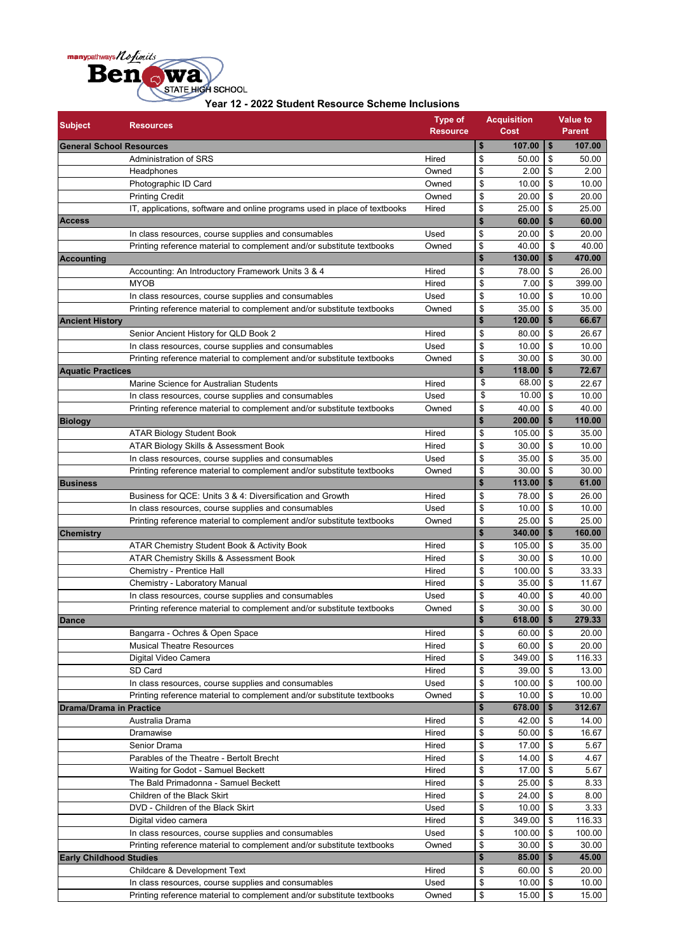

| Year 12 - 2022 Student Resource Scheme Inclusions |  |
|---------------------------------------------------|--|
|                                                   |  |

| <b>Subject</b>                  | <b>Resources</b>                                                          | <b>Type of</b><br><b>Resource</b> | <b>Acquisition</b><br><b>Cost</b> | <b>Value to</b><br><b>Parent</b> |
|---------------------------------|---------------------------------------------------------------------------|-----------------------------------|-----------------------------------|----------------------------------|
| <b>General School Resources</b> |                                                                           |                                   | \$<br>107.00                      | \$<br>107.00                     |
|                                 | Administration of SRS                                                     | Hired                             | \$<br>50.00                       | \$<br>50.00                      |
|                                 | Headphones                                                                | Owned                             | \$<br>2.00                        | \$<br>2.00                       |
|                                 | Photographic ID Card                                                      | Owned                             | \$<br>10.00                       | \$<br>10.00                      |
|                                 | <b>Printing Credit</b>                                                    | Owned                             | \$<br>20.00                       | \$<br>20.00                      |
|                                 | IT, applications, software and online programs used in place of textbooks | Hired                             | \$<br>25.00                       | \$<br>25.00                      |
| <b>Access</b>                   |                                                                           |                                   | \$<br>60.00                       | \$<br>60.00                      |
|                                 | In class resources, course supplies and consumables                       | Used                              | \$<br>20.00                       | \$<br>20.00                      |
|                                 | Printing reference material to complement and/or substitute textbooks     | Owned                             | \$<br>40.00                       | \$<br>40.00                      |
| <b>Accounting</b>               |                                                                           |                                   | \$<br>130.00                      | \$<br>470.00                     |
|                                 | Accounting: An Introductory Framework Units 3 & 4                         | Hired                             | \$<br>78.00                       | \$<br>26.00                      |
|                                 | <b>MYOB</b>                                                               | Hired                             | \$<br>7.00                        | \$<br>399.00                     |
|                                 | In class resources, course supplies and consumables                       | Used                              | \$<br>10.00                       | \$<br>10.00                      |
|                                 | Printing reference material to complement and/or substitute textbooks     | Owned                             | \$<br>35.00                       | \$<br>35.00                      |
| <b>Ancient History</b>          |                                                                           |                                   | \$<br>120.00                      | \$<br>66.67                      |
|                                 | Senior Ancient History for QLD Book 2                                     | Hired                             | \$<br>80.00                       | \$<br>26.67                      |
|                                 | In class resources, course supplies and consumables                       | Used                              | \$<br>10.00                       | \$<br>10.00                      |
|                                 | Printing reference material to complement and/or substitute textbooks     | Owned                             | \$<br>30.00                       | \$<br>30.00                      |
| <b>Aquatic Practices</b>        |                                                                           |                                   | \$<br>118.00                      | \$<br>72.67                      |
|                                 | Marine Science for Australian Students                                    | Hired                             | \$<br>68.00                       | \$<br>22.67                      |
|                                 | In class resources, course supplies and consumables                       | Used                              | \$<br>10.00                       | \$<br>10.00                      |
|                                 | Printing reference material to complement and/or substitute textbooks     | Owned                             | \$<br>40.00                       | \$<br>40.00                      |
| <b>Biology</b>                  |                                                                           |                                   | \$<br>200.00                      | \$<br>110.00                     |
|                                 | ATAR Biology Student Book                                                 | Hired                             | \$<br>105.00                      | \$<br>35.00                      |
|                                 | ATAR Biology Skills & Assessment Book                                     | Hired                             | \$<br>30.00                       | \$<br>10.00                      |
|                                 | In class resources, course supplies and consumables                       | Used                              | \$<br>35.00                       | \$<br>35.00                      |
|                                 | Printing reference material to complement and/or substitute textbooks     | Owned                             | \$<br>30.00                       | \$<br>30.00                      |
| <b>Business</b>                 |                                                                           |                                   | \$<br>113.00                      | \$<br>61.00                      |
|                                 | Business for QCE: Units 3 & 4: Diversification and Growth                 | Hired                             | \$<br>78.00                       | \$<br>26.00                      |
|                                 | In class resources, course supplies and consumables                       | Used                              | \$<br>10.00                       | \$<br>10.00                      |
|                                 | Printing reference material to complement and/or substitute textbooks     | Owned                             | \$<br>25.00                       | \$<br>25.00                      |
| Chemistry                       |                                                                           |                                   | \$<br>340.00                      | \$<br>160.00                     |
|                                 | ATAR Chemistry Student Book & Activity Book                               | Hired                             | \$<br>105.00                      | \$<br>35.00                      |
|                                 | ATAR Chemistry Skills & Assessment Book                                   | Hired                             | \$<br>30.00                       | \$<br>10.00                      |
|                                 | Chemistry - Prentice Hall                                                 | Hired                             | \$<br>100.00                      | \$<br>33.33                      |
|                                 | Chemistry - Laboratory Manual                                             | Hired                             | \$<br>35.00                       | \$<br>11.67                      |
|                                 | In class resources, course supplies and consumables                       | Used                              | \$<br>40.00                       | \$<br>40.00                      |
|                                 | Printing reference material to complement and/or substitute textbooks     | Owned                             | \$<br>30.00                       | \$<br>30.00                      |
| <b>Dance</b>                    |                                                                           |                                   | \$<br>$618.00$ \$                 | 279.33                           |
|                                 | Bangarra - Ochres & Open Space                                            | Hired                             | \$<br>60.00                       | \$<br>20.00                      |
|                                 | <b>Musical Theatre Resources</b>                                          | Hired                             | \$<br>60.00                       | \$<br>20.00                      |
|                                 | Digital Video Camera                                                      | Hired                             | \$<br>349.00                      | \$<br>116.33                     |
|                                 | SD Card                                                                   | Hired                             | \$<br>39.00                       | \$<br>13.00                      |
|                                 | In class resources, course supplies and consumables                       | Used                              | \$<br>100.00                      | \$<br>100.00                     |
|                                 | Printing reference material to complement and/or substitute textbooks     | Owned                             | \$<br>10.00                       | \$<br>10.00                      |
| <b>Drama/Drama in Practice</b>  |                                                                           |                                   | \$<br>678.00                      | \$<br>312.67                     |
|                                 | Australia Drama                                                           | Hired                             | \$<br>42.00                       | \$<br>14.00                      |
|                                 | Dramawise                                                                 | Hired                             | \$<br>50.00                       | \$<br>16.67                      |
|                                 | Senior Drama                                                              | Hired                             | \$<br>17.00                       | \$<br>5.67                       |
|                                 | Parables of the Theatre - Bertolt Brecht                                  | Hired                             | \$<br>14.00                       | \$<br>4.67                       |
|                                 | Waiting for Godot - Samuel Beckett                                        | Hired                             | \$<br>17.00                       | \$<br>5.67                       |
|                                 | The Bald Primadonna - Samuel Beckett                                      | Hired                             | \$<br>25.00                       | \$<br>8.33                       |
|                                 | Children of the Black Skirt                                               | Hired                             | \$<br>24.00                       | \$<br>8.00                       |
|                                 | DVD - Children of the Black Skirt                                         | Used                              | \$<br>10.00                       | \$<br>3.33                       |
|                                 | Digital video camera                                                      | Hired                             | \$<br>349.00                      | \$<br>116.33                     |
|                                 | In class resources, course supplies and consumables                       | Used                              | \$<br>100.00                      | \$<br>100.00                     |
|                                 | Printing reference material to complement and/or substitute textbooks     | Owned                             | \$<br>30.00                       | \$<br>30.00                      |
| <b>Early Childhood Studies</b>  |                                                                           |                                   | \$<br>85.00                       | \$<br>45.00                      |
|                                 | Childcare & Development Text                                              | Hired                             | \$<br>60.00                       | \$<br>20.00                      |
|                                 | In class resources, course supplies and consumables                       | Used                              | \$<br>10.00                       | \$<br>10.00                      |
|                                 | Printing reference material to complement and/or substitute textbooks     | Owned                             | \$<br>15.00                       | \$<br>15.00                      |
|                                 |                                                                           |                                   |                                   |                                  |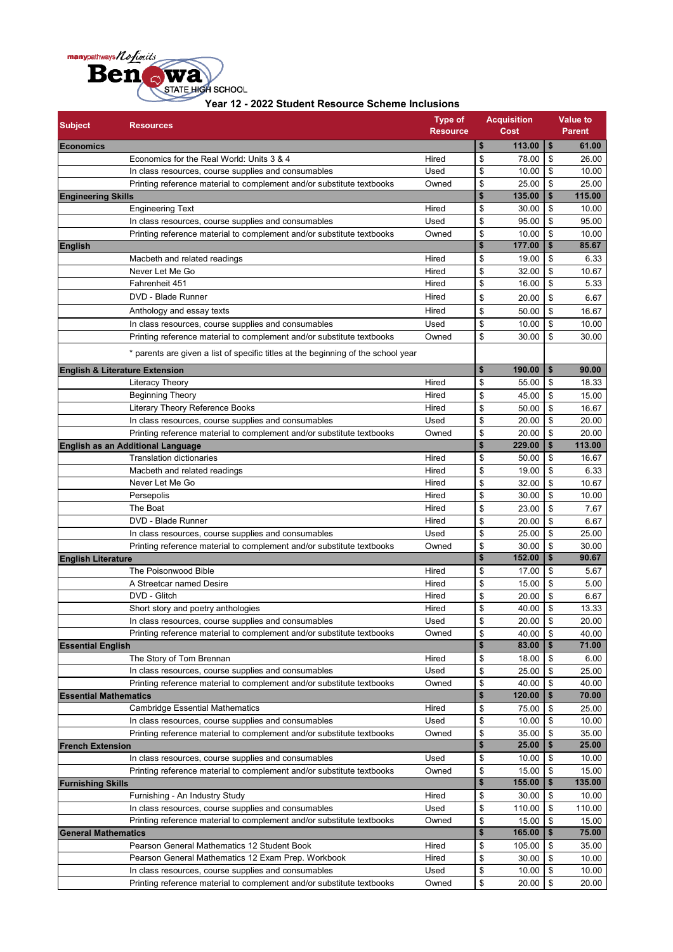

| Year 12 - 2022 Student Resource Scheme Inclusions |  |  |  |  |  |  |  |
|---------------------------------------------------|--|--|--|--|--|--|--|
|---------------------------------------------------|--|--|--|--|--|--|--|

| <b>Subject</b>               | <b>Resources</b>                                                                  | <b>Type of</b><br><b>Resource</b> |              | <b>Acquisition</b><br>Cost |                         | <b>Value to</b><br><b>Parent</b> |
|------------------------------|-----------------------------------------------------------------------------------|-----------------------------------|--------------|----------------------------|-------------------------|----------------------------------|
| <b>Economics</b>             |                                                                                   |                                   | \$           | 113.00                     | \$                      | 61.00                            |
|                              | Economics for the Real World: Units 3 & 4                                         | Hired                             | \$           | 78.00                      | \$                      | 26.00                            |
|                              | In class resources, course supplies and consumables                               | Used                              | \$           | 10.00                      | \$                      | 10.00                            |
|                              | Printing reference material to complement and/or substitute textbooks             | Owned                             | \$           | 25.00                      | \$                      | 25.00                            |
| <b>Engineering Skills</b>    |                                                                                   |                                   | \$           | 135.00                     | \$                      | 115.00                           |
|                              | Engineering Text                                                                  | Hired                             | \$           | 30.00                      | \$                      | 10.00                            |
|                              | In class resources, course supplies and consumables                               | Used                              | \$           | 95.00                      | \$                      | 95.00                            |
|                              | Printing reference material to complement and/or substitute textbooks             | Owned                             | \$           | 10.00                      | \$                      | 10.00                            |
| <b>English</b>               |                                                                                   |                                   | $\mathbf{s}$ | 177.00                     | \$                      | 85.67                            |
|                              | Macbeth and related readings                                                      | Hired                             | \$           | 19.00                      | \$                      | 6.33                             |
|                              | Never Let Me Go                                                                   | Hired                             | \$           | 32.00                      | \$                      | 10.67                            |
|                              | Fahrenheit 451                                                                    | Hired                             | \$           | 16.00                      | \$                      | 5.33                             |
|                              | DVD - Blade Runner                                                                | Hired                             | \$           | 20.00                      | \$                      | 6.67                             |
|                              | Anthology and essay texts                                                         | Hired                             | \$           | 50.00                      | \$                      | 16.67                            |
|                              | In class resources, course supplies and consumables                               | Used                              | \$           | 10.00                      | \$                      | 10.00                            |
|                              | Printing reference material to complement and/or substitute textbooks             | Owned                             | \$           | 30.00                      | \$                      | 30.00                            |
|                              | * parents are given a list of specific titles at the beginning of the school year |                                   |              |                            |                         |                                  |
|                              | <b>English &amp; Literature Extension</b>                                         |                                   | \$           | 190.00                     | \$                      | 90.00                            |
|                              | <b>Literacy Theory</b>                                                            | Hired                             | \$           | 55.00                      | \$                      | 18.33                            |
|                              | <b>Beginning Theory</b>                                                           | Hired                             | \$           | 45.00                      | \$                      | 15.00                            |
|                              | Literary Theory Reference Books                                                   | Hired                             | \$           | 50.00                      | \$                      | 16.67                            |
|                              | In class resources, course supplies and consumables                               | Used                              | \$           | 20.00                      | \$                      | 20.00                            |
|                              | Printing reference material to complement and/or substitute textbooks             | Owned                             | \$           | 20.00                      | \$                      | 20.00                            |
|                              | English as an Additional Language                                                 |                                   | \$           | 229.00                     | \$                      | 113.00                           |
|                              | <b>Translation dictionaries</b>                                                   | Hired                             | \$           | 50.00                      | \$                      | 16.67                            |
|                              | Macbeth and related readings                                                      | Hired                             | \$           | 19.00                      | \$                      | 6.33                             |
|                              | Never Let Me Go                                                                   | Hired                             | \$           | 32.00                      | \$                      | 10.67                            |
|                              | Persepolis                                                                        | Hired                             | \$           | 30.00                      | \$                      | 10.00                            |
|                              | The Boat                                                                          | Hired                             | \$           | 23.00                      | \$                      | 7.67                             |
|                              | DVD - Blade Runner                                                                | Hired                             | \$           | 20.00                      | \$                      | 6.67                             |
|                              | In class resources, course supplies and consumables                               | Used                              | \$           | 25.00                      | \$                      | 25.00                            |
|                              | Printing reference material to complement and/or substitute textbooks             | Owned                             | \$           | 30.00                      | \$                      | 30.00                            |
| <b>English Literature</b>    |                                                                                   |                                   | $\mathbf{s}$ | 152.00                     | \$                      | 90.67                            |
|                              | The Poisonwood Bible                                                              | Hired                             | \$           | 17.00                      | \$                      | 5.67                             |
|                              | A Streetcar named Desire                                                          | Hired                             | \$           | 15.00                      | \$                      | 5.00                             |
|                              | DVD - Glitch                                                                      | Hired                             | \$           | 20.00                      | \$                      | 6.67                             |
|                              | Short story and poetry anthologies                                                | Hired                             | \$           | 40.00                      | \$                      | 13.33                            |
|                              | In class resources, course supplies and consumables                               | Used                              | \$           | 20.00                      | $\overline{\mathbf{3}}$ | 20.00                            |
|                              | Printing reference material to complement and/or substitute textbooks             | Owned                             | \$           | 40.00                      | \$                      | 40.00                            |
| <b>Essential English</b>     |                                                                                   |                                   | \$           | 83.00                      | \$                      | 71.00                            |
|                              | The Story of Tom Brennan                                                          | Hired                             | \$           | 18.00                      | \$                      | 6.00                             |
|                              | In class resources, course supplies and consumables                               | Used                              | \$           | 25.00                      | \$                      | 25.00                            |
| <b>Essential Mathematics</b> | Printing reference material to complement and/or substitute textbooks             | Owned                             | \$<br>\$     | 40.00<br>120.00            | \$<br>\$                | 40.00<br>70.00                   |
|                              | <b>Cambridge Essential Mathematics</b>                                            |                                   |              | 75.00                      |                         |                                  |
|                              | In class resources, course supplies and consumables                               | Hired<br>Used                     | \$<br>\$     | 10.00                      | \$<br>\$                | 25.00<br>10.00                   |
|                              | Printing reference material to complement and/or substitute textbooks             | Owned                             | \$           | 35.00                      | \$                      | 35.00                            |
| <b>French Extension</b>      |                                                                                   |                                   | \$           | 25.00                      | \$                      | 25.00                            |
|                              | In class resources, course supplies and consumables                               | Used                              | \$           | 10.00                      | \$                      | 10.00                            |
|                              | Printing reference material to complement and/or substitute textbooks             | Owned                             | \$           | 15.00                      | \$                      | 15.00                            |
| <b>Furnishing Skills</b>     |                                                                                   |                                   | \$           | 155.00                     | \$                      | 135.00                           |
|                              | Furnishing - An Industry Study                                                    | Hired                             | \$           | 30.00                      | \$                      | 10.00                            |
|                              | In class resources, course supplies and consumables                               | Used                              | \$           | 110.00                     | \$                      | 110.00                           |
|                              | Printing reference material to complement and/or substitute textbooks             | Owned                             | \$           | 15.00                      | \$                      | 15.00                            |
| <b>General Mathematics</b>   |                                                                                   |                                   | \$           | 165.00                     | \$                      | 75.00                            |
|                              | Pearson General Mathematics 12 Student Book                                       | Hired                             | \$           | 105.00                     | \$                      | 35.00                            |
|                              | Pearson General Mathematics 12 Exam Prep. Workbook                                | Hired                             | \$           | 30.00                      | \$                      | 10.00                            |
|                              | In class resources, course supplies and consumables                               | Used                              | \$           | 10.00                      | \$                      | 10.00                            |
|                              | Printing reference material to complement and/or substitute textbooks             | Owned                             | \$           | 20.00                      | \$                      | 20.00                            |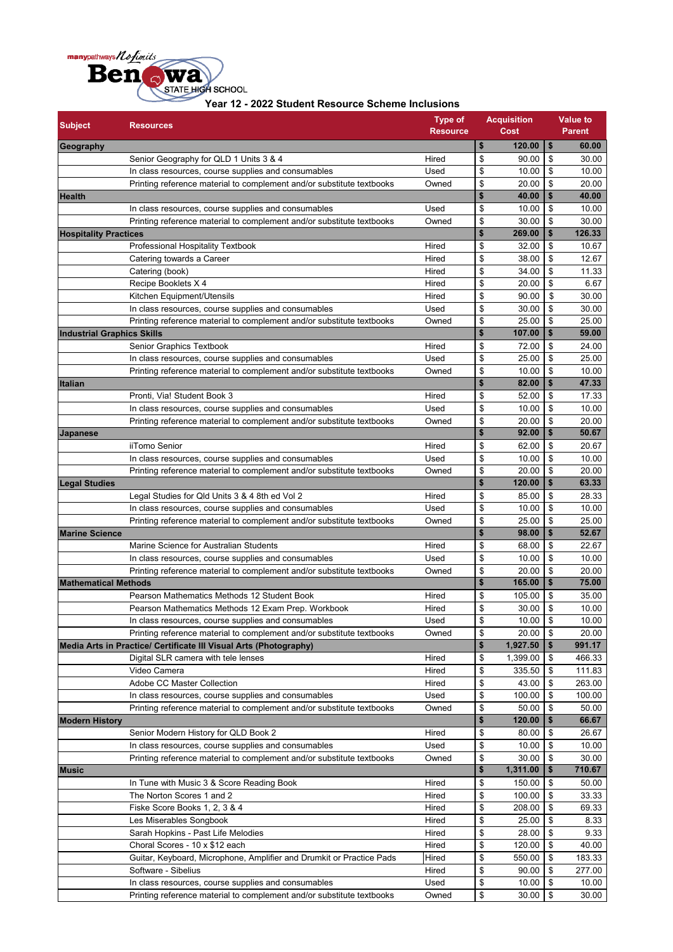

| Year 12 - 2022 Student Resource Scheme Inclusions |  |
|---------------------------------------------------|--|

| <b>Subject</b>                    | <b>Resources</b>                                                                                                             | <b>Type of</b><br><b>Resource</b> |          | <b>Acquisition</b><br>Cost |          | <b>Value to</b><br><b>Parent</b> |
|-----------------------------------|------------------------------------------------------------------------------------------------------------------------------|-----------------------------------|----------|----------------------------|----------|----------------------------------|
| Geography                         |                                                                                                                              |                                   | \$       | 120.00                     | \$       | 60.00                            |
|                                   | Senior Geography for QLD 1 Units 3 & 4                                                                                       | Hired                             | \$       | 90.00                      | \$       | 30.00                            |
|                                   | In class resources, course supplies and consumables                                                                          | Used                              | \$       | 10.00                      | \$       | 10.00                            |
|                                   | Printing reference material to complement and/or substitute textbooks                                                        | Owned                             | \$       | 20.00                      | \$       | 20.00                            |
| <b>Health</b>                     |                                                                                                                              |                                   | \$       | 40.00                      | \$       | 40.00                            |
|                                   | In class resources, course supplies and consumables                                                                          | Used                              | \$       | 10.00                      | \$       | 10.00                            |
|                                   | Printing reference material to complement and/or substitute textbooks                                                        | Owned                             | \$       | 30.00                      | \$       | 30.00                            |
| <b>Hospitality Practices</b>      |                                                                                                                              |                                   | \$       | 269.00                     | \$       | 126.33                           |
|                                   | Professional Hospitality Textbook                                                                                            | Hired                             | \$       | 32.00                      | \$       | 10.67                            |
|                                   | Catering towards a Career                                                                                                    | Hired                             | \$       | 38.00                      | \$       | 12.67                            |
|                                   | Catering (book)<br>Recipe Booklets X 4                                                                                       | Hired<br>Hired                    | \$       | 34.00                      | \$       | 11.33                            |
|                                   | Kitchen Equipment/Utensils                                                                                                   | Hired                             | \$<br>\$ | 20.00<br>90.00             | \$<br>\$ | 6.67<br>30.00                    |
|                                   | In class resources, course supplies and consumables                                                                          | Used                              | \$       | 30.00                      | \$       | 30.00                            |
|                                   | Printing reference material to complement and/or substitute textbooks                                                        | Owned                             | \$       | 25.00                      | \$       | 25.00                            |
| <b>Industrial Graphics Skills</b> |                                                                                                                              |                                   | \$       | 107.00                     | \$       | 59.00                            |
|                                   | Senior Graphics Textbook                                                                                                     | Hired                             | \$       | 72.00                      | \$       | 24.00                            |
|                                   | In class resources, course supplies and consumables                                                                          | Used                              | \$       | 25.00                      | \$       | 25.00                            |
|                                   | Printing reference material to complement and/or substitute textbooks                                                        | Owned                             | \$       | 10.00                      | \$       | 10.00                            |
| <b>Italian</b>                    |                                                                                                                              |                                   | \$       | 82.00                      | \$       | 47.33                            |
|                                   | Pronti, Via! Student Book 3                                                                                                  | Hired                             | \$       | 52.00                      | \$       | 17.33                            |
|                                   | In class resources, course supplies and consumables                                                                          | Used                              | \$       | 10.00                      | \$       | 10.00                            |
|                                   | Printing reference material to complement and/or substitute textbooks                                                        | Owned                             | \$       | 20.00                      | \$       | 20.00                            |
| Japanese                          |                                                                                                                              |                                   | \$       | 92.00                      | \$       | 50.67                            |
|                                   | iiTomo Senior                                                                                                                | Hired                             | \$       | 62.00                      | \$       | 20.67                            |
|                                   | In class resources, course supplies and consumables                                                                          | Used                              | \$       | 10.00                      | \$       | 10.00                            |
|                                   | Printing reference material to complement and/or substitute textbooks                                                        | Owned                             | \$       | 20.00                      | \$       | 20.00                            |
| <b>Legal Studies</b>              |                                                                                                                              |                                   | \$       | 120.00                     | \$       | 63.33                            |
|                                   | Legal Studies for Qld Units 3 & 4 8th ed Vol 2                                                                               | Hired                             | \$       | 85.00                      | \$       | 28.33                            |
|                                   | In class resources, course supplies and consumables                                                                          | Used                              | \$       | 10.00                      | \$       | 10.00                            |
|                                   | Printing reference material to complement and/or substitute textbooks                                                        | Owned                             | \$       | 25.00                      | \$       | 25.00                            |
| <b>Marine Science</b>             |                                                                                                                              |                                   | \$       | 98.00                      | \$       | 52.67                            |
|                                   | Marine Science for Australian Students                                                                                       | Hired                             | \$       | 68.00                      | \$       | 22.67                            |
|                                   | In class resources, course supplies and consumables                                                                          | Used                              | \$       | 10.00                      | \$       | 10.00                            |
|                                   | Printing reference material to complement and/or substitute textbooks                                                        | Owned                             | \$       | 20.00                      | \$       | 20.00                            |
| <b>Mathematical Methods</b>       |                                                                                                                              |                                   | \$       | 165.00                     | \$       | 75.00                            |
|                                   | Pearson Mathematics Methods 12 Student Book                                                                                  | Hired                             | \$       | 105.00                     | \$       | 35.00                            |
|                                   | Pearson Mathematics Methods 12 Exam Prep. Workbook                                                                           | Hired                             | \$       | 30.00                      | \$       | 10.00                            |
|                                   | In class resources, course supplies and consumables                                                                          | Used                              | \$       | 10.00                      | \$       | 10.00                            |
|                                   | Printing reference material to complement and/or substitute textbooks                                                        | Owned                             | \$       | 20.00                      | \$       | 20.00                            |
|                                   | Media Arts in Practice/ Certificate III Visual Arts (Photography)                                                            |                                   | \$       | 1,927.50                   | \$       | 991.17                           |
|                                   | Digital SLR camera with tele lenses                                                                                          | Hired                             | \$       | 1,399.00                   | \$       | 466.33                           |
|                                   | Video Camera                                                                                                                 | Hired                             | \$       | 335.50                     | \$       | 111.83                           |
|                                   | Adobe CC Master Collection                                                                                                   | Hired                             | \$       | 43.00                      | \$       | 263.00                           |
|                                   | In class resources, course supplies and consumables                                                                          | Used                              | \$       | 100.00                     | \$       | 100.00                           |
|                                   | Printing reference material to complement and/or substitute textbooks                                                        | Owned                             | \$       | 50.00                      | \$       | 50.00                            |
| <b>Modern History</b>             |                                                                                                                              |                                   | \$       | 120.00                     | \$       | 66.67                            |
|                                   | Senior Modern History for QLD Book 2                                                                                         | Hired                             | \$       | 80.00                      | \$       | 26.67                            |
|                                   | In class resources, course supplies and consumables                                                                          | Used                              | \$       | 10.00                      | \$       | 10.00                            |
|                                   | Printing reference material to complement and/or substitute textbooks                                                        | Owned                             | \$       | 30.00                      | \$       | 30.00                            |
| <b>Music</b>                      |                                                                                                                              |                                   | \$       | 1,311.00                   | \$       | 710.67                           |
|                                   | In Tune with Music 3 & Score Reading Book                                                                                    | Hired                             | \$       | 150.00                     | \$       | 50.00                            |
|                                   | The Norton Scores 1 and 2                                                                                                    | Hired                             | \$       | 100.00                     | \$       | 33.33                            |
|                                   | Fiske Score Books 1, 2, 3 & 4                                                                                                | Hired                             | \$       | 208.00                     | \$       | 69.33                            |
|                                   | Les Miserables Songbook                                                                                                      | Hired                             | \$       | 25.00                      | \$       | 8.33                             |
|                                   | Sarah Hopkins - Past Life Melodies                                                                                           | Hired                             | \$       | 28.00                      | \$       | 9.33                             |
|                                   | Choral Scores - 10 x \$12 each                                                                                               | Hired                             | \$       | 120.00                     | \$       | 40.00                            |
|                                   | Guitar, Keyboard, Microphone, Amplifier and Drumkit or Practice Pads                                                         | Hired                             | \$       | 550.00                     | \$       | 183.33                           |
|                                   | Software - Sibelius                                                                                                          | Hired                             | \$<br>\$ | 90.00<br>10.00             | \$<br>\$ | 277.00                           |
|                                   | In class resources, course supplies and consumables<br>Printing reference material to complement and/or substitute textbooks | Used<br>Owned                     | \$       | 30.00                      | \$       | 10.00<br>30.00                   |
|                                   |                                                                                                                              |                                   |          |                            |          |                                  |